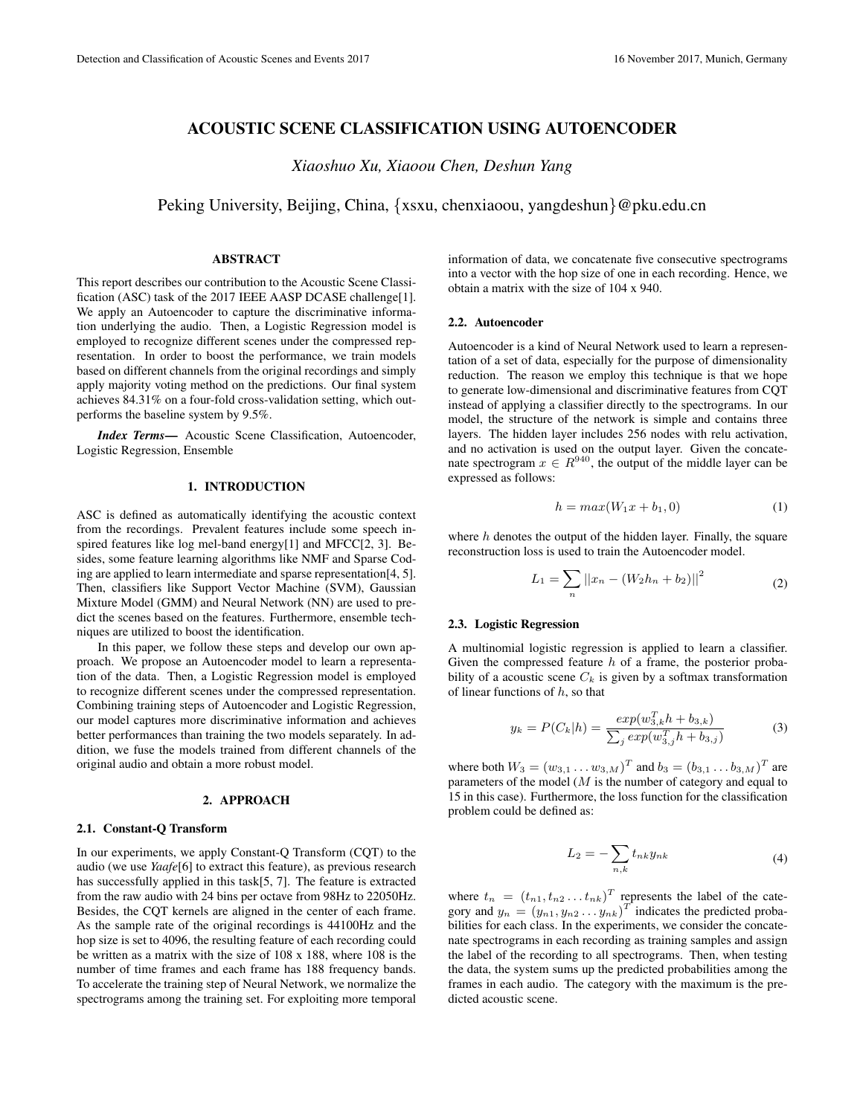# ACOUSTIC SCENE CLASSIFICATION USING AUTOENCODER

*Xiaoshuo Xu, Xiaoou Chen, Deshun Yang*

Peking University, Beijing, China, {xsxu, chenxiaoou, yangdeshun}@pku.edu.cn

### ABSTRACT

This report describes our contribution to the Acoustic Scene Classification (ASC) task of the 2017 IEEE AASP DCASE challenge[1]. We apply an Autoencoder to capture the discriminative information underlying the audio. Then, a Logistic Regression model is employed to recognize different scenes under the compressed representation. In order to boost the performance, we train models based on different channels from the original recordings and simply apply majority voting method on the predictions. Our final system achieves 84.31% on a four-fold cross-validation setting, which outperforms the baseline system by 9.5%.

*Index Terms*— Acoustic Scene Classification, Autoencoder, Logistic Regression, Ensemble

## 1. INTRODUCTION

ASC is defined as automatically identifying the acoustic context from the recordings. Prevalent features include some speech inspired features like log mel-band energy[1] and MFCC[2, 3]. Besides, some feature learning algorithms like NMF and Sparse Coding are applied to learn intermediate and sparse representation[4, 5]. Then, classifiers like Support Vector Machine (SVM), Gaussian Mixture Model (GMM) and Neural Network (NN) are used to predict the scenes based on the features. Furthermore, ensemble techniques are utilized to boost the identification.

In this paper, we follow these steps and develop our own approach. We propose an Autoencoder model to learn a representation of the data. Then, a Logistic Regression model is employed to recognize different scenes under the compressed representation. Combining training steps of Autoencoder and Logistic Regression, our model captures more discriminative information and achieves better performances than training the two models separately. In addition, we fuse the models trained from different channels of the original audio and obtain a more robust model.

### 2. APPROACH

#### 2.1. Constant-Q Transform

In our experiments, we apply Constant-Q Transform (CQT) to the audio (we use *Yaafe*[6] to extract this feature), as previous research has successfully applied in this task[5, 7]. The feature is extracted from the raw audio with 24 bins per octave from 98Hz to 22050Hz. Besides, the CQT kernels are aligned in the center of each frame. As the sample rate of the original recordings is 44100Hz and the hop size is set to 4096, the resulting feature of each recording could be written as a matrix with the size of 108 x 188, where 108 is the number of time frames and each frame has 188 frequency bands. To accelerate the training step of Neural Network, we normalize the spectrograms among the training set. For exploiting more temporal

information of data, we concatenate five consecutive spectrograms into a vector with the hop size of one in each recording. Hence, we obtain a matrix with the size of 104 x 940.

#### 2.2. Autoencoder

Autoencoder is a kind of Neural Network used to learn a representation of a set of data, especially for the purpose of dimensionality reduction. The reason we employ this technique is that we hope to generate low-dimensional and discriminative features from CQT instead of applying a classifier directly to the spectrograms. In our model, the structure of the network is simple and contains three layers. The hidden layer includes 256 nodes with relu activation, and no activation is used on the output layer. Given the concatenate spectrogram  $x \in R^{940}$ , the output of the middle layer can be expressed as follows:

$$
h = max(W_1x + b_1, 0) \tag{1}
$$

where  $h$  denotes the output of the hidden layer. Finally, the square reconstruction loss is used to train the Autoencoder model.

$$
L_1 = \sum_{n} ||x_n - (W_2 h_n + b_2)||^2
$$
 (2)

#### 2.3. Logistic Regression

A multinomial logistic regression is applied to learn a classifier. Given the compressed feature  $h$  of a frame, the posterior probability of a acoustic scene  $C_k$  is given by a softmax transformation of linear functions of  $h$ , so that

$$
y_k = P(C_k|h) = \frac{exp(w_{3,k}^T h + b_{3,k})}{\sum_j exp(w_{3,j}^T h + b_{3,j})}
$$
(3)

where both  $W_3 = (w_{3,1} \dots w_{3,M})^T$  and  $b_3 = (b_{3,1} \dots b_{3,M})^T$  are parameters of the model  $(M$  is the number of category and equal to 15 in this case). Furthermore, the loss function for the classification problem could be defined as:

$$
L_2 = -\sum_{n,k} t_{nk} y_{nk} \tag{4}
$$

where  $t_n = (t_{n1}, t_{n2} \dots t_{nk})^T$  represents the label of the category and  $y_n = (y_{n1}, y_{n2}, \ldots, y_{nk})^T$  indicates the predicted probabilities for each class. In the experiments, we consider the concatenate spectrograms in each recording as training samples and assign the label of the recording to all spectrograms. Then, when testing the data, the system sums up the predicted probabilities among the frames in each audio. The category with the maximum is the predicted acoustic scene.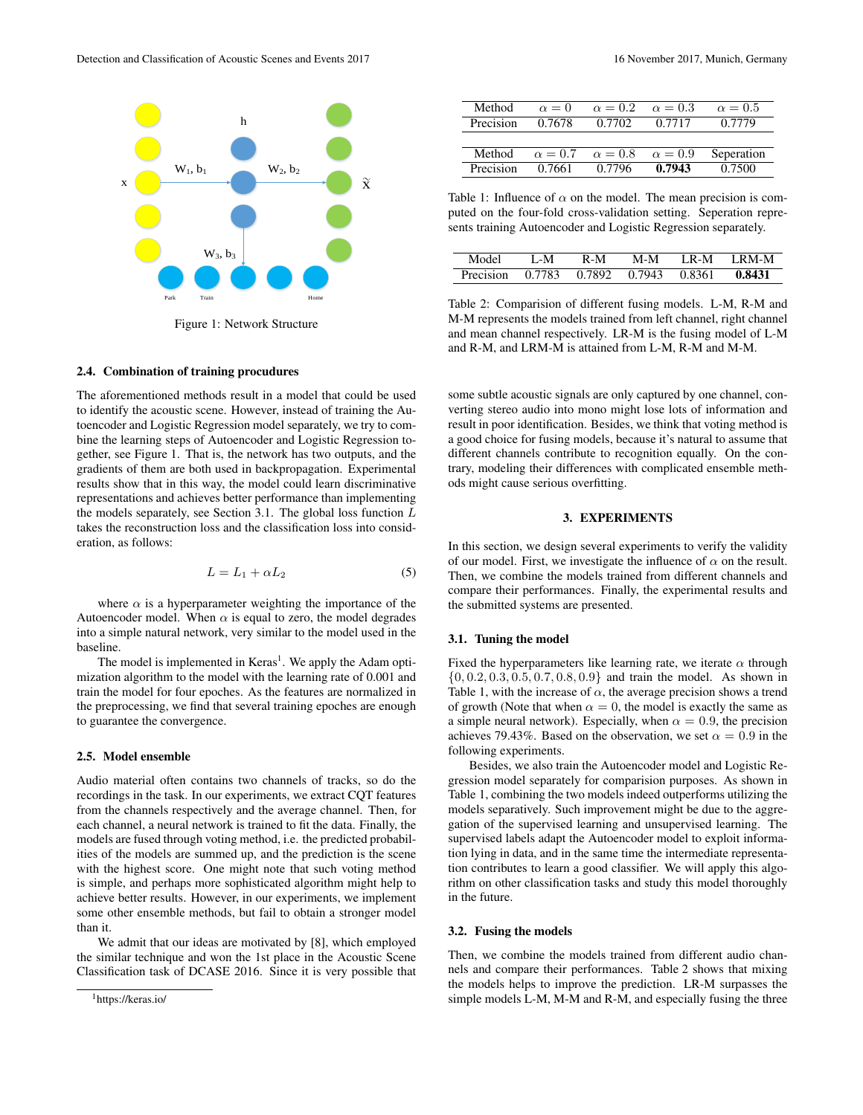

Figure 1: Network Structure

# 2.4. Combination of training procudures

The aforementioned methods result in a model that could be used to identify the acoustic scene. However, instead of training the Autoencoder and Logistic Regression model separately, we try to combine the learning steps of Autoencoder and Logistic Regression together, see Figure 1. That is, the network has two outputs, and the gradients of them are both used in backpropagation. Experimental results show that in this way, the model could learn discriminative representations and achieves better performance than implementing the models separately, see Section 3.1. The global loss function  $L$ takes the reconstruction loss and the classification loss into consideration, as follows:

$$
L = L_1 + \alpha L_2 \tag{5}
$$

where  $\alpha$  is a hyperparameter weighting the importance of the Autoencoder model. When  $\alpha$  is equal to zero, the model degrades into a simple natural network, very similar to the model used in the baseline.

The model is implemented in Keras<sup>1</sup>. We apply the Adam optimization algorithm to the model with the learning rate of 0.001 and train the model for four epoches. As the features are normalized in the preprocessing, we find that several training epoches are enough to guarantee the convergence.

#### 2.5. Model ensemble

Audio material often contains two channels of tracks, so do the recordings in the task. In our experiments, we extract CQT features from the channels respectively and the average channel. Then, for each channel, a neural network is trained to fit the data. Finally, the models are fused through voting method, i.e. the predicted probabilities of the models are summed up, and the prediction is the scene with the highest score. One might note that such voting method is simple, and perhaps more sophisticated algorithm might help to achieve better results. However, in our experiments, we implement some other ensemble methods, but fail to obtain a stronger model than it.

We admit that our ideas are motivated by [8], which employed the similar technique and won the 1st place in the Acoustic Scene Classification task of DCASE 2016. Since it is very possible that

| Method    | $\alpha = 0$   | $\alpha = 0.2$ | $\alpha = 0.3$ | $\alpha = 0.5$ |
|-----------|----------------|----------------|----------------|----------------|
| Precision | 0.7678         | 0.7702         | 0.7717         | 0.7779         |
|           |                |                |                |                |
| Method    | $\alpha = 0.7$ | $\alpha = 0.8$ | $\alpha = 0.9$ | Seperation     |
| Precision | 0.7661         | 0.7796         | 0.7943         | 0.7500         |

Table 1: Influence of  $\alpha$  on the model. The mean precision is computed on the four-fold cross-validation setting. Seperation represents training Autoencoder and Logistic Regression separately.

| Model                                 | L-M | $R-M$ | M-M | IR-M IRM-M |
|---------------------------------------|-----|-------|-----|------------|
| Precision 0.7783 0.7892 0.7943 0.8361 |     |       |     | 0.8431     |

Table 2: Comparision of different fusing models. L-M, R-M and M-M represents the models trained from left channel, right channel and mean channel respectively. LR-M is the fusing model of L-M and R-M, and LRM-M is attained from L-M, R-M and M-M.

some subtle acoustic signals are only captured by one channel, converting stereo audio into mono might lose lots of information and result in poor identification. Besides, we think that voting method is a good choice for fusing models, because it's natural to assume that different channels contribute to recognition equally. On the contrary, modeling their differences with complicated ensemble methods might cause serious overfitting.

### 3. EXPERIMENTS

In this section, we design several experiments to verify the validity of our model. First, we investigate the influence of  $\alpha$  on the result. Then, we combine the models trained from different channels and compare their performances. Finally, the experimental results and the submitted systems are presented.

### 3.1. Tuning the model

Fixed the hyperparameters like learning rate, we iterate  $\alpha$  through  $\{0, 0.2, 0.3, 0.5, 0.7, 0.8, 0.9\}$  and train the model. As shown in Table 1, with the increase of  $\alpha$ , the average precision shows a trend of growth (Note that when  $\alpha = 0$ , the model is exactly the same as a simple neural network). Especially, when  $\alpha = 0.9$ , the precision achieves 79.43%. Based on the observation, we set  $\alpha = 0.9$  in the following experiments.

Besides, we also train the Autoencoder model and Logistic Regression model separately for comparision purposes. As shown in Table 1, combining the two models indeed outperforms utilizing the models separatively. Such improvement might be due to the aggregation of the supervised learning and unsupervised learning. The supervised labels adapt the Autoencoder model to exploit information lying in data, and in the same time the intermediate representation contributes to learn a good classifier. We will apply this algorithm on other classification tasks and study this model thoroughly in the future.

#### 3.2. Fusing the models

Then, we combine the models trained from different audio channels and compare their performances. Table 2 shows that mixing the models helps to improve the prediction. LR-M surpasses the simple models L-M, M-M and R-M, and especially fusing the three

<sup>1</sup>https://keras.io/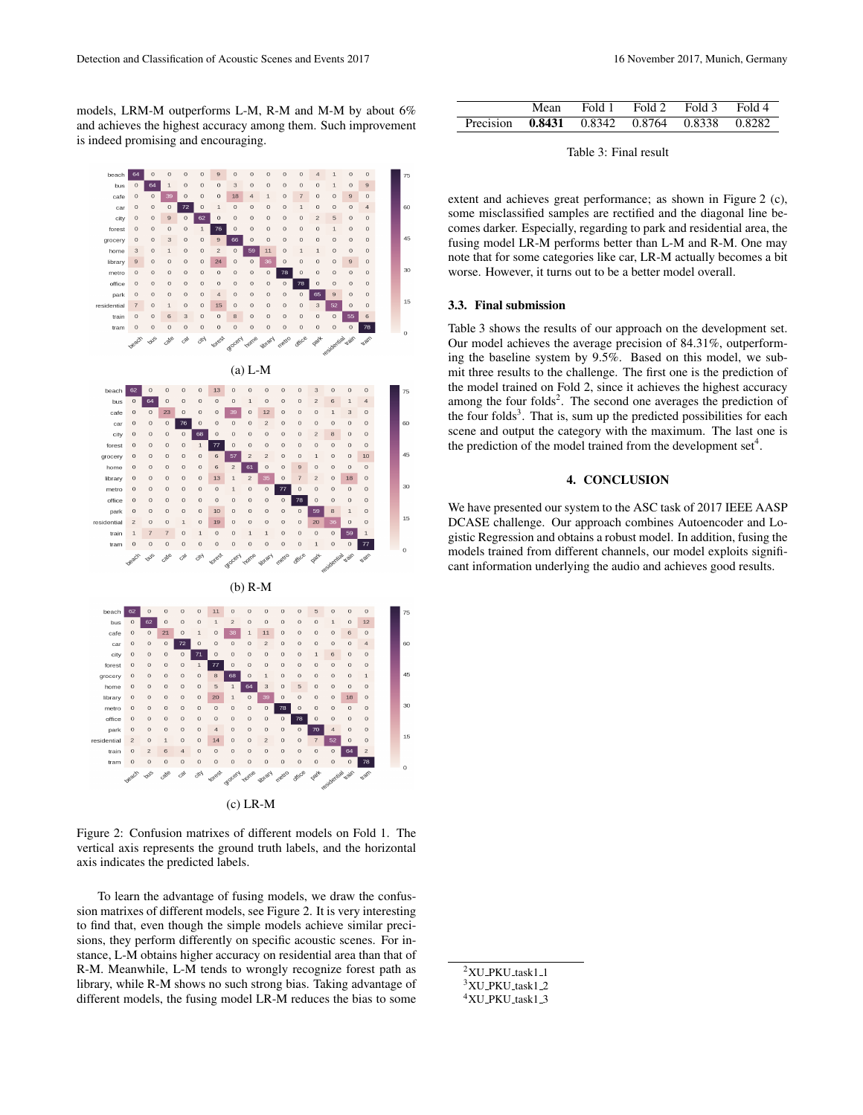models, LRM-M outperforms L-M, R-M and M-M by about 6% and achieves the highest accuracy among them. Such improvement is indeed promising and encouraging.



Figure 2: Confusion matrixes of different models on Fold 1. The vertical axis represents the ground truth labels, and the horizontal axis indicates the predicted labels.

To learn the advantage of fusing models, we draw the confussion matrixes of different models, see Figure 2. It is very interesting to find that, even though the simple models achieve similar precisions, they perform differently on specific acoustic scenes. For instance, L-M obtains higher accuracy on residential area than that of R-M. Meanwhile, L-M tends to wrongly recognize forest path as library, while R-M shows no such strong bias. Taking advantage of different models, the fusing model LR-M reduces the bias to some

|                                              | Mean | Fold 1 | Fold 2 Fold 3 Fold 4 |  |
|----------------------------------------------|------|--------|----------------------|--|
| Precision 0.8431 0.8342 0.8764 0.8338 0.8282 |      |        |                      |  |

Table 3: Final result

extent and achieves great performance; as shown in Figure 2 (c), some misclassified samples are rectified and the diagonal line becomes darker. Especially, regarding to park and residential area, the fusing model LR-M performs better than L-M and R-M. One may note that for some categories like car, LR-M actually becomes a bit worse. However, it turns out to be a better model overall.

#### 3.3. Final submission

Table 3 shows the results of our approach on the development set. Our model achieves the average precision of 84.31%, outperforming the baseline system by 9.5%. Based on this model, we submit three results to the challenge. The first one is the prediction of the model trained on Fold 2, since it achieves the highest accuracy among the four folds<sup>2</sup>. The second one averages the prediction of the four folds<sup>3</sup>. That is, sum up the predicted possibilities for each scene and output the category with the maximum. The last one is the prediction of the model trained from the development  $set<sup>4</sup>$ .

# 4. CONCLUSION

We have presented our system to the ASC task of 2017 IEEE AASP DCASE challenge. Our approach combines Autoencoder and Logistic Regression and obtains a robust model. In addition, fusing the models trained from different channels, our model exploits significant information underlying the audio and achieves good results.

 $2$ XU\_PKU\_task1\_1 <sup>3</sup>XU\_PKU\_task1\_2 <sup>4</sup>XU PKU task1 3